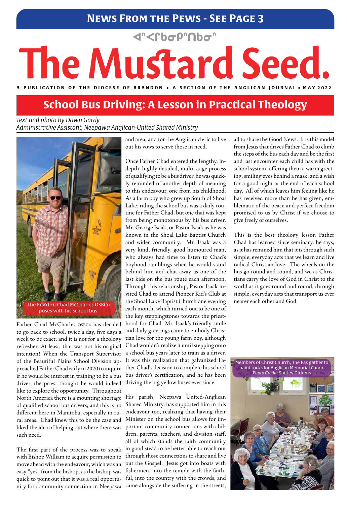## **News From the Pews - See Page 3**

**<rbop"Nbo"** 

# The Mustard Seed.

A PUBLICATION OF THE DIOCESE OF BRANDON • A SECTION OF THE ANGLICAN JOURNAL • MAY 2022

*Text and photo by Dawn Gardy Administrative Assistant, Neepawa Anglican-United Shared Ministry*

Father Chad McCharles OSBCn has decided to go back to school, twice a day, five days a week to be exact, and it is not for a theology refresher. At least, that was not his original intention! When the Transport Supervisor of the Beautiful Plains School Division approached Father Chad early in 2020 to inquire if he would be interest in training to be a bus driver, the priest thought he would indeed like to explore the opportunity. Throughout

North America there is a mounting shortage of qualified school bus drivers, and this is no different here in Manitoba, especially in rural areas. Chad knew this to be the case and liked the idea of helping out where there was such need.

The first part of the process was to speak with Bishop William to acquire permission to move ahead with the endeavour, which was an easy "yes" from the bishop, as the bishop was quick to point out that it was a real opportunity for community connection in Neepawa

# **School Bus Driving: A Lesson in Practical Theology**

and area, and for the Anglican cleric to live out his vows to serve those in need.

Once Father Chad entered the lengthy, indepth, highly detailed, multi-stage process of qualifying to be a bus driver, he was quickly reminded of another depth of meaning to this endeavour, one from his childhood. As a farm boy who grew up South of Shoal Lake, riding the school bus was a daily routine for Father Chad, but one that was kept from being monotonous by his bus driver, Mr. George Isaak, or Pastor Isaak as he was known in the Shoal Lake Baptist Church and wider community. Mr. Isaak was a very kind, friendly, good humoured man, who always had time to listen to Chad's boyhood ramblings when he would stand behind him and chat away as one of the last kids on the bus route each afternoon. Through this relationship, Pastor Isaak invited Chad to attend Pioneer Kid's Club at the Shoal Lake Baptist Church one evening each month, which turned out to be one of the key steppingstones towards the priesthood for Chad. Mr. Isaak's friendly smile and daily greetings came to embody Christian love for the young farm boy, although Chad wouldn't realize it until stepping onto a school bus years later to train as a driver. It was this realization that galvanized Father Chad's decision to complete his school bus driver's certification, and he has been driving the big yellow buses ever since.

His parish, Neepawa United-Anglican Shared Ministry, has supported him in this endeavour too, realizing that having their Minister on the school bus allows for important community connections with children, parents, teachers, and division staff, all of which stands the faith community in good stead to be better able to reach out through those connections to share and live out the Gospel. Jesus got into boats with fishermen, into the temple with the faithful, into the country with the crowds, and came alongside the suffering in the streets,



all to share the Good News. It is this model from Jesus that drives Father Chad to climb the steps of the bus each day and be the first and last encounter each child has with the school system, offering them a warm greeting, smiling eyes behind a mask, and a wish for a good night at the end of each school day. All of which leaves him feeling like he has received more than he has given, emblematic of the peace and perfect freedom promised to us by Christ if we choose to give freely of ourselves.

This is the best theology lesson Father Chad has learned since seminary, he says, as it has remined him that it is through such simple, everyday acts that we learn and live radical Christian love. The wheels on the bus go round and round, and we as Christians carry the love of God in Christ to the world as it goes round and round, through simple, everyday acts that transport us ever nearer each other and God.

Members of Christ Church, The Pas gather to paint rocks for Anglican Memorial Camp. *Photo Credit:* Shirley Dickens

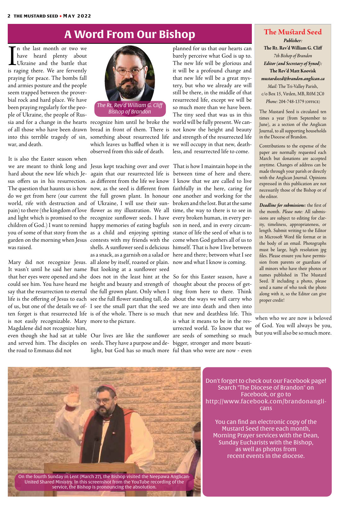In the last month or two we<br>have heard plenty about<br>Ukraine and the battle that<br>is raging there. We are fervently have heard plenty about Ukraine and the battle that is raging there. We are fervently praying for peace. The bombs fall and armies posture and the people seem trapped between the proverbial rock and hard place. We have been praying regularly for the people of Ukraine, the people of Ruswar, and death.

we are meant to think long and Jesus kept teaching over and over That is how I maintain hope in the hard about the new life which Je-again that our resurrected life is between time of here and there. shells. A sunflower seed is delicious himself. That is how I live between as a snack, as a garnish on a salad or here and there; between what I see Tl<br>be<br>I l

It<br>we<br>ha It is also the Easter season when sus offers us in his resurrection. as different from the life we know I know that we are called to live The question that haunts us is how now, as the seed is different from faithfully in the here, caring for do we get from here (our current the full grown plant. In honour one another and working for the world, rife with destruction and of Ukraine, I will use their sun-broken and the lost. But at the same pain) to there (the kingdom of love flower as my illustration. We all time, the way to there is to see in and light which is promised to the recognize sunflower seeds. I have every broken human, in every perchildren of God.) I want to remind happy memories of eating bagfuls son in need, and in every circumyou of some of that story from the as a child and enjoying spitting stance of life the seed of what is to garden on the morning when Jesus contests with my friends with the come when God gathers all of us to was raised.

Mary did not recognize Jesus. all alone by itself, roasted or plain. now and what I know is coming. Jes<br>ag<br>as<br>no

M<br>It<br>th: It wasn't until he said her name But looking at a sunflower seed that her eyes were opened and she does not in the least hint at the So for this Easter season, have a could see him. You have heard me height and beauty and strength of thought about the process of getsay that the resurrection to eternal  $\,$  the full grown plant. Only when I  $\,$  ting  $\,$  from  $\,$  here  $\,$  to  $\,$  there. Think life is the offering of Jesus to each) see the full flower standing tall, do about the ways we will carry who of us, but one of the details we of-I see the small part that the seed we are into death and then into ten forget is that resurrected life is of the whole. There is so much that new and deathless life. This is not easily recognizable. Mary more to the picture. Magdalene did not recognize him, even though she had sat at table Our lives are like the sunflower are seeds of something so much and served him. The disciples on seeds. They have a purpose and de- bigger, stronger and more beautithe road to Emmaus did not

sia and for a change in the hearts recognize him until he broke the world will be fully present. We canof all those who have been drawn bread in front of them. There is not know the height and beauty into this terrible tragedy of sin, something about resurrected life and strength of the resurrected life which leaves us baffled when it is we will occupy in that new, deathobserved from this side of death.

> So<br>the<br>ah is what it means to be in the resurrected world. To know that we

Oı<br>see<br>lig light, but God has so much more ful than who were are now - even

planned for us that our hearts can barely perceive what God is up to. The new life will be glorious and it will be a profound change and that new life will be a great mystery, but who we already are will still be there, in the middle of that resurrected life, except we will be so much more than we have been. The tiny seed that was us in this less, and resurrected life to come.

# **A Word From Our Bishop The Mustard Seed**

# *Publisher:*

**The Rt. Rev'd William G. Cliff** *7th Bishop of Brandon Editor (and Secretary of Synod):*  **The Rev'd Matt Koovisk** *mustardseed@brandon.anglican.ca Mail:* The Tri-Valley Parish, c/o Box 15, Virden, MB, R0M 2C0 *Phone:* 204-748-1379 (office)

The Mustard Seed is circulated ten times a year (from September to June), as a section of the Anglican Journal, to all supporting households in the Diocese of Brandon.

Contributions to the expense of the paper are normally requested each March but donations are accepted anytime. Changes of address can be made through your parish or directly with the Anglican Journal. Opinions expressed in this publication are not necessarily those of the Bishop or of the editor.

*Deadline for submissions:* the first of the month. *Please note:* All submissions are subject to editing for clarity, timeliness, appropriateness, or length. Submit writing to the Editor in Microsoft Word file format or in the body of an email. Photographs must be large, high resolution jpg files. Please ensure you have permission from parents or guardians of all minors who have their photos or names published in The Mustard Seed. If including a photo, please send a name of who took the photo along with it, so the Editor can give proper credit!



Don't forget to check out our Facebook page! Search "The Diocese of Brandon" on Facebook, or go to http://www.facebook.com/brandonanglicans

You can find an electronic copy of the Mustard Seed there each month, Morning Prayer services with the Dean, Sunday Eucharists with the Bishop, as well as photos from recent events in the diocese.

when who we are now is beloved of God. You will always be you, but you will also be so much more.



On the fourth Sunday in Lent (March 27), the Bishop visited the Neepawa Anglican-United Shared Ministry. In this screenshot from the YouTube recording of the service, the Bishop is pronouncing the absolution.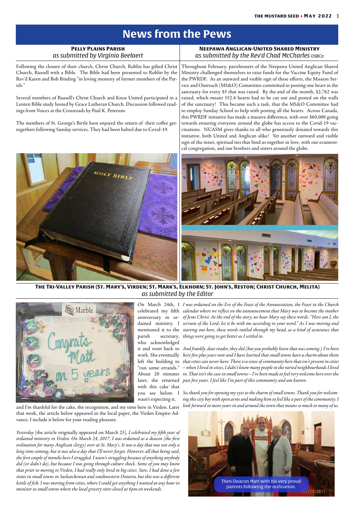# **News from the Pews**

| <b>PELLY PLAINS PARISH</b><br>as submitted by Virginia Beelaert                                                                                                                                                                                       | <b>NEEPAWA ANGLICAN-UNITED SHARED MINISTRY</b><br>as submitted by the Rev'd Chad McCharles OSBCn                                                                                                                                                                                                                                                                                                     |
|-------------------------------------------------------------------------------------------------------------------------------------------------------------------------------------------------------------------------------------------------------|------------------------------------------------------------------------------------------------------------------------------------------------------------------------------------------------------------------------------------------------------------------------------------------------------------------------------------------------------------------------------------------------------|
| Following the closure of their church, Christ Church, Roblin has gifted Christ<br>Church, Russell with a Bible. The Bible had been presented to Roblin by the<br>Rev'd Karen and Bob Binding "in loving memory of former members of the Par-<br>ish." | Throughout February, parishioners of the Neepawa United Anglican Shared<br>Ministry challenged themselves to raise funds for the Vaccine Equity Fund of<br>the PWRDF. As an outward and visible sign of these efforts, the Mission Ser-<br>vice and Outreach (MS&O) Committee committed to posting one heart in the<br>sanctuary for every \$5 that was raised. By the end of the month, \$2,762 was |
| Several members of Russell's Christ Church and Knox United participated in a<br>Lenten Bible study hosted by Grace Lutheran Church. Discussion followed read-<br>ings from Voices at the Crossroads by Paul K. Peterson.                              | raised, which meant 552.4 hearts had to be cut out and posted on the walls<br>of the sanctuary! This became such a task, that the MS&O Committee had<br>to employ Sunday School to help with posting all the hearts. Across Canada,<br>this PWRDF initiative has made a massive difference, with over \$60,000 going                                                                                 |
| The members of St. George's Birtle have enjoyed the return of their coffee get-<br>togethers following Sunday services. They had been halted due to Covid-19.                                                                                         | towards ensuring everyone around the globe has access to the Covid-19 vac-<br>cinations. NUASM gives thanks to all who generously donated towards this<br>initiative, both United and Anglican alike! Yet another outward and visible<br>sign of the inner, spiritual ties that bind us together in love, with our ecumeni-<br>cal congregation, and our brothers and sisters around the globe.      |
| HOLY BIBLI                                                                                                                                                                                                                                            |                                                                                                                                                                                                                                                                                                                                                                                                      |
|                                                                                                                                                                                                                                                       |                                                                                                                                                                                                                                                                                                                                                                                                      |

#### **The Tri-Valley Parish (St. Mary's, Virden; St. Mark's, Elkhorn; St. John's, Reston; Christ Church, Melita)** *as submitted by the Editor*



who acknowledged with this cake that

wasn't expecting it,

and I'm thankful for the cake, the recognition, and my time here in Virden. Later that week, the article below appeared in the local paper, the Virden Empire-Advance. I include it below for your reading pleasure.



On March 24th, I *I was ordained on the Eve of the Feast of the Annunciation, the Feast in the Church*  celebrated my fifth *calendar where we reflect on the announcement that Mary was to become the mother* anniversary in or-*of Jesus Christ. At the end of the story, we hear Mary say these words: "Here am I, the*  dained ministry. I *servant of the Lord; let it be with me according to your word." As I was moving and*  mentioned it to the *starting out here, these words rattled through my head, as a kind of assurance that*  parish secretary, *things were going to get better as I settled in.*

*Yesterday* [the article originally appeared on March 25]*, I celebrated my fifth year of ordained ministry in Virden. On March 24, 2017, I was ordained as a deacon (the first ordination for many Anglican clergy) over at St. Mary's. It was a day that was not only a long time coming, but it was also a day that I'll never forget. However, all that being said, the first couple of months here I struggled. I wasn't struggling because of anything anybody did (or didn't do), but because I was going through culture shock. Some of you may know that prior to moving to Virden, I had really only lived in big cities. Sure, I had done a few stints in small towns in Saskatchewan and southwestern Ontario, but this was a different kettle of fish. I was moving from cities, where I could get anything I wanted at any hour to minister to small towns where the local grocery store closed at 6pm on weekends.*

it and went back to *And frankly, dear reader, they did (but you probably knew that was coming.) I've been*  work. She eventually *here five plus years now and I have learned that small towns have a charm about them*  left the building to *that cities can never have. There is a sense of community here that isn't present in cities*  "run some errands." *– when I lived in cities, I didn't know many people in the varied neighbourhoods I lived*  About 20 minutes *in. That isn't the case in small towns – I've been made to feel very welcome here over the*  later, she returned *past five years. I feel like I'm part of this community and am known.*

you see below. I *So, thank you for opening my eyes to the charm of small towns. Thank you for welcom-*

*ing this city boy with open arms and making him to feel like a part of the community. I look forward to more years in and around the town that means so much to many of us.*